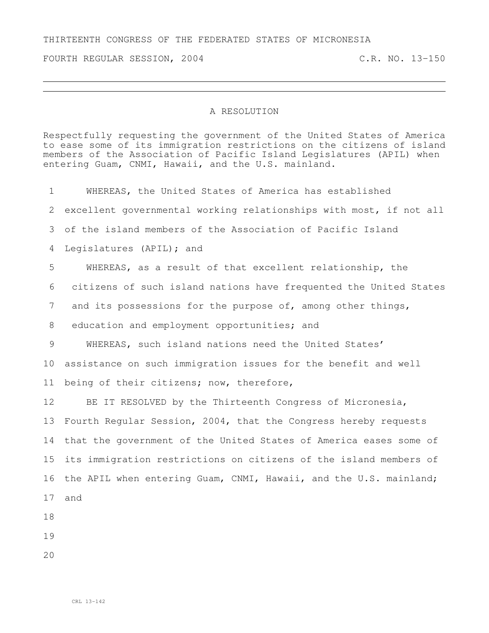## THIRTEENTH CONGRESS OF THE FEDERATED STATES OF MICRONESIA

FOURTH REGULAR SESSION, 2004 C.R. NO. 13-150

## A RESOLUTION

Respectfully requesting the government of the United States of America to ease some of its immigration restrictions on the citizens of island members of the Association of Pacific Island Legislatures (APIL) when entering Guam, CNMI, Hawaii, and the U.S. mainland.

 WHEREAS, the United States of America has established excellent governmental working relationships with most, if not all of the island members of the Association of Pacific Island Legislatures (APIL); and WHEREAS, as a result of that excellent relationship, the citizens of such island nations have frequented the United States 7 and its possessions for the purpose of, among other things, 8 education and employment opportunities; and WHEREAS, such island nations need the United States' assistance on such immigration issues for the benefit and well 11 being of their citizens; now, therefore, BE IT RESOLVED by the Thirteenth Congress of Micronesia, Fourth Regular Session, 2004, that the Congress hereby requests that the government of the United States of America eases some of its immigration restrictions on citizens of the island members of the APIL when entering Guam, CNMI, Hawaii, and the U.S. mainland; and